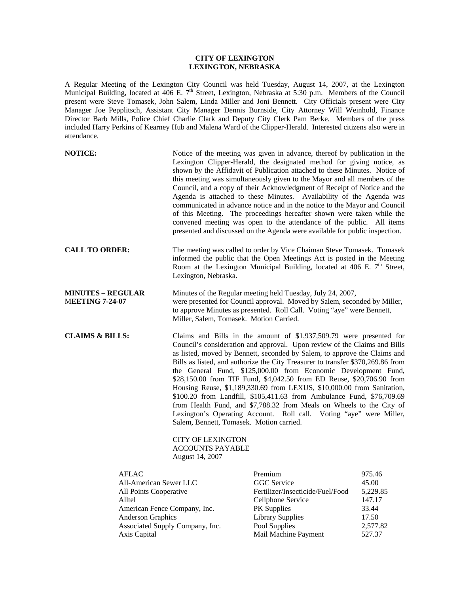## **CITY OF LEXINGTON LEXINGTON, NEBRASKA**

A Regular Meeting of the Lexington City Council was held Tuesday, August 14, 2007, at the Lexington Municipal Building, located at 406 E. 7<sup>th</sup> Street, Lexington, Nebraska at 5:30 p.m. Members of the Council present were Steve Tomasek, John Salem, Linda Miller and Joni Bennett. City Officials present were City Manager Joe Pepplitsch, Assistant City Manager Dennis Burnside, City Attorney Will Weinhold, Finance Director Barb Mills, Police Chief Charlie Clark and Deputy City Clerk Pam Berke. Members of the press included Harry Perkins of Kearney Hub and Malena Ward of the Clipper-Herald. Interested citizens also were in attendance.

| <b>NOTICE:</b>                                                                                  |                                                                                                                                                                                                                                                                                                                                                                                                                                                                                                                                                                                                                                                                                                                                                                                                                                       | Notice of the meeting was given in advance, thereof by publication in the<br>Lexington Clipper-Herald, the designated method for giving notice, as<br>shown by the Affidavit of Publication attached to these Minutes. Notice of<br>this meeting was simultaneously given to the Mayor and all members of the<br>Council, and a copy of their Acknowledgment of Receipt of Notice and the<br>Agenda is attached to these Minutes. Availability of the Agenda was<br>communicated in advance notice and in the notice to the Mayor and Council<br>of this Meeting. The proceedings hereafter shown were taken while the<br>convened meeting was open to the attendance of the public. All items<br>presented and discussed on the Agenda were available for public inspection. |                                                                     |
|-------------------------------------------------------------------------------------------------|---------------------------------------------------------------------------------------------------------------------------------------------------------------------------------------------------------------------------------------------------------------------------------------------------------------------------------------------------------------------------------------------------------------------------------------------------------------------------------------------------------------------------------------------------------------------------------------------------------------------------------------------------------------------------------------------------------------------------------------------------------------------------------------------------------------------------------------|-------------------------------------------------------------------------------------------------------------------------------------------------------------------------------------------------------------------------------------------------------------------------------------------------------------------------------------------------------------------------------------------------------------------------------------------------------------------------------------------------------------------------------------------------------------------------------------------------------------------------------------------------------------------------------------------------------------------------------------------------------------------------------|---------------------------------------------------------------------|
| <b>CALL TO ORDER:</b>                                                                           | Lexington, Nebraska.                                                                                                                                                                                                                                                                                                                                                                                                                                                                                                                                                                                                                                                                                                                                                                                                                  | The meeting was called to order by Vice Chaiman Steve Tomasek. Tomasek<br>informed the public that the Open Meetings Act is posted in the Meeting<br>Room at the Lexington Municipal Building, located at 406 E. 7 <sup>th</sup> Street,                                                                                                                                                                                                                                                                                                                                                                                                                                                                                                                                      |                                                                     |
| <b>MINUTES - REGULAR</b><br><b>MEETING 7-24-07</b>                                              |                                                                                                                                                                                                                                                                                                                                                                                                                                                                                                                                                                                                                                                                                                                                                                                                                                       | Minutes of the Regular meeting held Tuesday, July 24, 2007,<br>were presented for Council approval. Moved by Salem, seconded by Miller,<br>to approve Minutes as presented. Roll Call. Voting "aye" were Bennett,<br>Miller, Salem, Tomasek. Motion Carried.                                                                                                                                                                                                                                                                                                                                                                                                                                                                                                                  |                                                                     |
| <b>CLAIMS &amp; BILLS:</b>                                                                      | Claims and Bills in the amount of \$1,937,509.79 were presented for<br>Council's consideration and approval. Upon review of the Claims and Bills<br>as listed, moved by Bennett, seconded by Salem, to approve the Claims and<br>Bills as listed, and authorize the City Treasurer to transfer \$370,269.86 from<br>the General Fund, \$125,000.00 from Economic Development Fund,<br>\$28,150.00 from TIF Fund, \$4,042.50 from ED Reuse, \$20,706.90 from<br>Housing Reuse, \$1,189,330.69 from LEXUS, \$10,000.00 from Sanitation,<br>\$100.20 from Landfill, \$105,411.63 from Ambulance Fund, \$76,709.69<br>from Health Fund, and \$7,788.32 from Meals on Wheels to the City of<br>Lexington's Operating Account. Roll call. Voting "aye" were Miller,<br>Salem, Bennett, Tomasek. Motion carried.<br><b>CITY OF LEXINGTON</b> |                                                                                                                                                                                                                                                                                                                                                                                                                                                                                                                                                                                                                                                                                                                                                                               |                                                                     |
|                                                                                                 | <b>ACCOUNTS PAYABLE</b><br>August 14, 2007                                                                                                                                                                                                                                                                                                                                                                                                                                                                                                                                                                                                                                                                                                                                                                                            |                                                                                                                                                                                                                                                                                                                                                                                                                                                                                                                                                                                                                                                                                                                                                                               |                                                                     |
| AFLAC<br>All-American Sewer LLC<br>All Points Cooperative<br>Alltel<br><b>Anderson Graphics</b> | American Fence Company, Inc.<br>Associated Supply Company, Inc.                                                                                                                                                                                                                                                                                                                                                                                                                                                                                                                                                                                                                                                                                                                                                                       | Premium<br><b>GGC</b> Service<br>Fertilizer/Insecticide/Fuel/Food<br>Cellphone Service<br>PK Supplies<br><b>Library Supplies</b><br>Pool Supplies                                                                                                                                                                                                                                                                                                                                                                                                                                                                                                                                                                                                                             | 975.46<br>45.00<br>5,229.85<br>147.17<br>33.44<br>17.50<br>2,577.82 |

Axis Capital **Mail Machine Payment** 527.37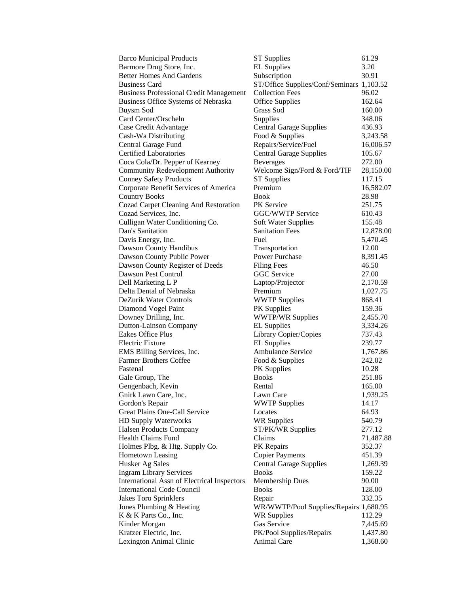| <b>Barco Municipal Products</b>                    | <b>ST Supplies</b>                        | 61.29     |
|----------------------------------------------------|-------------------------------------------|-----------|
| Barmore Drug Store, Inc.                           | <b>EL Supplies</b>                        | 3.20      |
| <b>Better Homes And Gardens</b>                    | Subscription                              | 30.91     |
| <b>Business Card</b>                               | ST/Office Supplies/Conf/Seminars 1,103.52 |           |
| <b>Business Professional Credit Management</b>     | <b>Collection Fees</b>                    | 96.02     |
| Business Office Systems of Nebraska                | <b>Office Supplies</b>                    | 162.64    |
| <b>Buysm Sod</b>                                   | Grass Sod                                 | 160.00    |
| Card Center/Orscheln                               | Supplies                                  | 348.06    |
| Case Credit Advantage                              | <b>Central Garage Supplies</b>            | 436.93    |
| Cash-Wa Distributing                               | Food & Supplies                           | 3,243.58  |
| Central Garage Fund                                | Repairs/Service/Fuel                      | 16,006.57 |
| <b>Certified Laboratories</b>                      | <b>Central Garage Supplies</b>            | 105.67    |
| Coca Cola/Dr. Pepper of Kearney                    | <b>Beverages</b>                          | 272.00    |
| Community Redevelopment Authority                  | Welcome Sign/Ford & Ford/TIF              | 28,150.00 |
| <b>Conney Safety Products</b>                      | <b>ST</b> Supplies                        | 117.15    |
| Corporate Benefit Services of America              | Premium                                   | 16,582.07 |
| <b>Country Books</b>                               | <b>Book</b>                               | 28.98     |
| <b>Cozad Carpet Cleaning And Restoration</b>       | PK Service                                | 251.75    |
| Cozad Services, Inc.                               | GGC/WWTP Service                          | 610.43    |
| Culligan Water Conditioning Co.                    | Soft Water Supplies                       | 155.48    |
| Dan's Sanitation                                   | <b>Sanitation Fees</b>                    | 12,878.00 |
| Davis Energy, Inc.                                 | Fuel                                      | 5,470.45  |
| Dawson County Handibus                             | Transportation                            | 12.00     |
| Dawson County Public Power                         | Power Purchase                            | 8,391.45  |
| Dawson County Register of Deeds                    | <b>Filing Fees</b>                        | 46.50     |
| Dawson Pest Control                                | <b>GGC</b> Service                        | 27.00     |
| Dell Marketing L P                                 | Laptop/Projector                          | 2,170.59  |
| Delta Dental of Nebraska                           | Premium                                   | 1,027.75  |
| DeZurik Water Controls                             | <b>WWTP Supplies</b>                      | 868.41    |
| Diamond Vogel Paint                                | <b>PK</b> Supplies                        | 159.36    |
| Downey Drilling, Inc.                              | <b>WWTP/WR Supplies</b>                   | 2,455.70  |
| <b>Dutton-Lainson Company</b>                      | <b>EL</b> Supplies                        | 3,334.26  |
| <b>Eakes Office Plus</b>                           | Library Copier/Copies                     | 737.43    |
| <b>Electric Fixture</b>                            | <b>EL</b> Supplies                        | 239.77    |
| EMS Billing Services, Inc.                         | <b>Ambulance Service</b>                  | 1,767.86  |
| <b>Farmer Brothers Coffee</b>                      | Food & Supplies                           | 242.02    |
| Fastenal                                           | <b>PK</b> Supplies                        | 10.28     |
| Gale Group, The                                    | <b>Books</b>                              | 251.86    |
| Gengenbach, Kevin                                  | Rental                                    | 165.00    |
| Gnirk Lawn Care, Inc.                              | Lawn Care                                 | 1,939.25  |
| Gordon's Repair                                    | <b>WWTP Supplies</b>                      | 14.17     |
| Great Plains One-Call Service                      | Locates                                   | 64.93     |
| HD Supply Waterworks                               | <b>WR Supplies</b>                        | 540.79    |
| <b>Halsen Products Company</b>                     | ST/PK/WR Supplies                         | 277.12    |
| Health Claims Fund                                 | Claims                                    | 71,487.88 |
| Holmes Plbg. & Htg. Supply Co.                     | PK Repairs                                | 352.37    |
| <b>Hometown Leasing</b>                            | <b>Copier Payments</b>                    | 451.39    |
| Husker Ag Sales                                    | <b>Central Garage Supplies</b>            | 1,269.39  |
| <b>Ingram Library Services</b>                     | <b>Books</b>                              | 159.22    |
| <b>International Assn of Electrical Inspectors</b> | Membership Dues                           | 90.00     |
| <b>International Code Council</b>                  | <b>Books</b>                              | 128.00    |
| <b>Jakes Toro Sprinklers</b>                       | Repair                                    | 332.35    |
| Jones Plumbing & Heating                           | WR/WWTP/Pool Supplies/Repairs 1,680.95    |           |
| K & K Parts Co., Inc.                              | <b>WR Supplies</b>                        | 112.29    |
| Kinder Morgan                                      | Gas Service                               | 7,445.69  |
| Kratzer Electric, Inc.                             | PK/Pool Supplies/Repairs                  | 1,437.80  |
| Lexington Animal Clinic                            | Animal Care                               | 1,368.60  |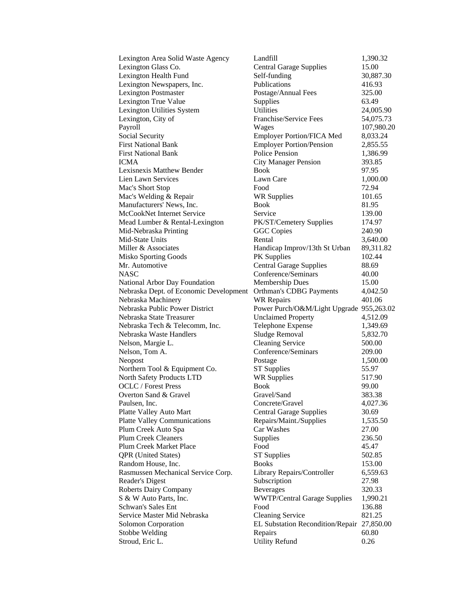| Lexington Area Solid Waste Agency      | Landfill                                   | 1,390.32   |
|----------------------------------------|--------------------------------------------|------------|
| Lexington Glass Co.                    | <b>Central Garage Supplies</b>             | 15.00      |
| Lexington Health Fund                  | Self-funding                               | 30,887.30  |
| Lexington Newspapers, Inc.             | Publications                               | 416.93     |
| <b>Lexington Postmaster</b>            | Postage/Annual Fees                        | 325.00     |
| Lexington True Value                   | Supplies                                   | 63.49      |
| Lexington Utilities System             | Utilities                                  | 24,005.90  |
| Lexington, City of                     | Franchise/Service Fees                     | 54,075.73  |
| Payroll                                | Wages                                      | 107,980.20 |
| Social Security                        | <b>Employer Portion/FICA Med</b>           | 8,033.24   |
| <b>First National Bank</b>             | <b>Employer Portion/Pension</b>            | 2,855.55   |
| <b>First National Bank</b>             | <b>Police Pension</b>                      | 1,386.99   |
| ICMA                                   | <b>City Manager Pension</b>                | 393.85     |
| Lexisnexis Matthew Bender              | Book                                       | 97.95      |
| Lien Lawn Services                     | Lawn Care                                  | 1,000.00   |
| Mac's Short Stop                       | Food                                       | 72.94      |
| Mac's Welding & Repair                 | <b>WR Supplies</b>                         | 101.65     |
| Manufacturers' News, Inc.              | Book                                       | 81.95      |
| McCookNet Internet Service             | Service                                    | 139.00     |
| Mead Lumber & Rental-Lexington         | PK/ST/Cemetery Supplies                    | 174.97     |
| Mid-Nebraska Printing                  | <b>GGC</b> Copies                          | 240.90     |
| Mid-State Units                        | Rental                                     | 3,640.00   |
| Miller & Associates                    | Handicap Improv/13th St Urban              | 89,311.82  |
| <b>Misko Sporting Goods</b>            | PK Supplies                                | 102.44     |
| Mr. Automotive                         | <b>Central Garage Supplies</b>             | 88.69      |
| NASC                                   | Conference/Seminars                        | 40.00      |
| National Arbor Day Foundation          | <b>Membership Dues</b>                     | 15.00      |
| Nebraska Dept. of Economic Development | Orthman's CDBG Payments                    | 4,042.50   |
| Nebraska Machinery                     | <b>WR Repairs</b>                          | 401.06     |
| Nebraska Public Power District         | Power Purch/O&M/Light Upgrade 955,263.02   |            |
| Nebraska State Treasurer               | <b>Unclaimed Property</b>                  | 4,512.09   |
| Nebraska Tech & Telecomm, Inc.         | Telephone Expense                          | 1,349.69   |
| Nebraska Waste Handlers                | Sludge Removal                             | 5,832.70   |
| Nelson, Margie L.                      | <b>Cleaning Service</b>                    | 500.00     |
| Nelson, Tom A.                         | Conference/Seminars                        | 209.00     |
| Neopost                                | Postage                                    | 1,500.00   |
| Northern Tool & Equipment Co.          | <b>ST Supplies</b>                         | 55.97      |
| North Safety Products LTD              | <b>WR Supplies</b>                         | 517.90     |
| <b>OCLC</b> / Forest Press             | <b>Book</b>                                | 99.00      |
| Overton Sand & Gravel                  | Gravel/Sand                                | 383.38     |
| Paulsen, Inc.                          | Concrete/Gravel                            | 4,027.36   |
| Platte Valley Auto Mart                | <b>Central Garage Supplies</b>             | 30.69      |
| <b>Platte Valley Communications</b>    | Repairs/Maint./Supplies                    | 1,535.50   |
| Plum Creek Auto Spa                    | Car Washes                                 | 27.00      |
| <b>Plum Creek Cleaners</b>             | Supplies                                   | 236.50     |
| Plum Creek Market Place                | Food                                       | 45.47      |
| <b>QPR</b> (United States)             | <b>ST Supplies</b>                         | 502.85     |
| Random House, Inc.                     | <b>Books</b>                               | 153.00     |
| Rasmussen Mechanical Service Corp.     | Library Repairs/Controller                 | 6,559.63   |
| Reader's Digest                        | Subscription                               | 27.98      |
| <b>Roberts Dairy Company</b>           | <b>Beverages</b>                           | 320.33     |
| S & W Auto Parts, Inc.                 | <b>WWTP/Central Garage Supplies</b>        | 1,990.21   |
| Schwan's Sales Ent                     | Food                                       | 136.88     |
| Service Master Mid Nebraska            | <b>Cleaning Service</b>                    | 821.25     |
| <b>Solomon Corporation</b>             | EL Substation Recondition/Repair 27,850.00 |            |
| Stobbe Welding                         | Repairs                                    | 60.80      |
| Stroud, Eric L.                        | <b>Utility Refund</b>                      | 0.26       |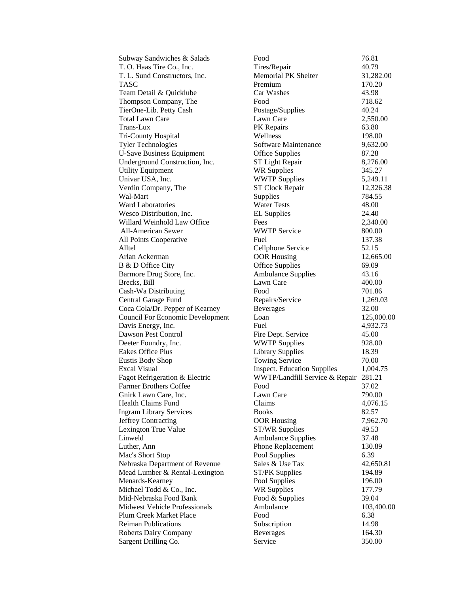| Subway Sandwiches & Salads              | Food                               | 76.81      |
|-----------------------------------------|------------------------------------|------------|
| T. O. Haas Tire Co., Inc.               | Tires/Repair                       | 40.79      |
| T. L. Sund Constructors, Inc.           | <b>Memorial PK Shelter</b>         | 31,282.00  |
| <b>TASC</b>                             | Premium                            | 170.20     |
| Team Detail & Quicklube                 | Car Washes                         | 43.98      |
| Thompson Company, The                   | Food                               | 718.62     |
| TierOne-Lib. Petty Cash                 | Postage/Supplies                   | 40.24      |
| <b>Total Lawn Care</b>                  | Lawn Care                          | 2,550.00   |
| Trans-Lux                               | PK Repairs                         | 63.80      |
| Tri-County Hospital                     | Wellness                           | 198.00     |
| <b>Tyler Technologies</b>               | Software Maintenance               | 9,632.00   |
| <b>U-Save Business Equipment</b>        | <b>Office Supplies</b>             | 87.28      |
| Underground Construction, Inc.          | ST Light Repair                    | 8,276.00   |
| <b>Utility Equipment</b>                | <b>WR Supplies</b>                 | 345.27     |
| Univar USA, Inc.                        | <b>WWTP Supplies</b>               | 5,249.11   |
| Verdin Company, The                     | ST Clock Repair                    | 12,326.38  |
| Wal-Mart                                | Supplies                           | 784.55     |
| <b>Ward Laboratories</b>                | <b>Water Tests</b>                 | 48.00      |
| Wesco Distribution, Inc.                | <b>EL</b> Supplies                 | 24.40      |
| Willard Weinhold Law Office             | Fees                               | 2,340.00   |
| <b>All-American Sewer</b>               | <b>WWTP Service</b>                | 800.00     |
| All Points Cooperative                  | Fuel                               | 137.38     |
| Alltel                                  | Cellphone Service                  | 52.15      |
| Arlan Ackerman                          | <b>OOR Housing</b>                 | 12,665.00  |
| B & D Office City                       | <b>Office Supplies</b>             | 69.09      |
| Barmore Drug Store, Inc.                | <b>Ambulance Supplies</b>          | 43.16      |
| Brecks, Bill                            | Lawn Care                          | 400.00     |
| Cash-Wa Distributing                    | Food                               | 701.86     |
| Central Garage Fund                     | Repairs/Service                    | 1,269.03   |
| Coca Cola/Dr. Pepper of Kearney         | <b>Beverages</b>                   | 32.00      |
| <b>Council For Economic Development</b> | Loan                               | 125,000.00 |
| Davis Energy, Inc.                      | Fuel                               | 4,932.73   |
| Dawson Pest Control                     | Fire Dept. Service                 | 45.00      |
| Deeter Foundry, Inc.                    | <b>WWTP Supplies</b>               | 928.00     |
| <b>Eakes Office Plus</b>                | <b>Library Supplies</b>            | 18.39      |
| Eustis Body Shop                        | <b>Towing Service</b>              | 70.00      |
| <b>Excal Visual</b>                     | <b>Inspect.</b> Education Supplies | 1,004.75   |
| Fagot Refrigeration & Electric          | WWTP/Landfill Service & Repair     | 281.21     |
| Farmer Brothers Coffee                  | Food                               | 37.02      |
| Gnirk Lawn Care, Inc.                   | Lawn Care                          | 790.00     |
| <b>Health Claims Fund</b>               | Claims                             | 4,076.15   |
| <b>Ingram Library Services</b>          | <b>Books</b>                       | 82.57      |
| Jeffrey Contracting                     | <b>OOR Housing</b>                 | 7,962.70   |
| Lexington True Value                    | <b>ST/WR Supplies</b>              | 49.53      |
| Linweld                                 | <b>Ambulance Supplies</b>          | 37.48      |
| Luther, Ann                             | Phone Replacement                  | 130.89     |
| Mac's Short Stop                        | Pool Supplies                      | 6.39       |
| Nebraska Department of Revenue          | Sales & Use Tax                    | 42,650.81  |
| Mead Lumber & Rental-Lexington          | <b>ST/PK Supplies</b>              | 194.89     |
| Menards-Kearney                         | Pool Supplies                      | 196.00     |
| Michael Todd & Co., Inc.                | <b>WR Supplies</b>                 | 177.79     |
| Mid-Nebraska Food Bank                  | Food & Supplies                    | 39.04      |
| Midwest Vehicle Professionals           | Ambulance                          | 103,400.00 |
| Plum Creek Market Place                 | Food                               | 6.38       |
| <b>Reiman Publications</b>              | Subscription                       | 14.98      |
| <b>Roberts Dairy Company</b>            | <b>Beverages</b>                   | 164.30     |
| Sargent Drilling Co.                    | Service                            | 350.00     |
|                                         |                                    |            |

| эd                                                        | 76.81              |
|-----------------------------------------------------------|--------------------|
| es/Repair                                                 | 40.79              |
| morial PK Shelter                                         | 31,282.00          |
| mium                                                      | 170.20             |
| : Washes                                                  | 43.98              |
| bd                                                        | 718.62             |
| stage/Supplies                                            | 40.24              |
| vn Care                                                   | 2,550.00           |
| Repairs                                                   | 63.80              |
| llness                                                    | 198.00             |
| tware Maintenance                                         | 9,632.00           |
| ice Supplies                                              | 87.28              |
| Light Repair                                              | 8,276.00           |
| <b>Supplies</b>                                           | 345.27             |
| VTP Supplies                                              | 5,249.11           |
| Clock Repair                                              | 12,326.38          |
| pplies                                                    | 784.55             |
| ter Tests                                                 | 48.00              |
| Supplies                                                  | 24.40              |
| 'S                                                        | 2,340.00           |
| VTP Service                                               | 800.00             |
| اد                                                        | 137.38             |
| lphone Service                                            | 52.15              |
| R Housing                                                 | 12,665.00          |
| ice Supplies                                              | 69.09              |
| <b>hbulance Supplies</b>                                  | 43.16              |
| vn Care                                                   | 400.00             |
| bd                                                        | 701.86             |
| pairs/Service                                             | 1,269.03           |
|                                                           | 32.00              |
| verages                                                   | 125,000.0          |
| an<br>2I                                                  | 4,932.73           |
|                                                           | 45.00              |
| e Dept. Service<br>VTP Supplies                           | 928.00             |
| rary Supplies                                             | 18.39              |
|                                                           |                    |
| wing Service                                              | 70.00              |
| pect. Education Supplies<br>VTP/Landfill Service & Repair | 1,004.75<br>281.21 |
|                                                           |                    |
| d                                                         | 37.02<br>790.00    |
| vn Care                                                   |                    |
| ims                                                       | 4,076.15<br>82.57  |
| oks                                                       |                    |
| R Housing                                                 | 7,962.70           |
| <b>WR Supplies</b>                                        | 49.53              |
| <b>hbulance Supplies</b>                                  | 37.48              |
| one Replacement                                           | 130.89             |
| ol Supplies                                               | 6.39               |
| es & Use Tax                                              | 42,650.81          |
| PK Supplies                                               | 194.89             |
| ol Supplies                                               | 196.00             |
| <b>Supplies</b>                                           | 177.79             |
| od & Supplies                                             | 39.04              |
| hulance                                                   | 103,400.0          |
| эd                                                        | 6.38               |
| oscription                                                | 14.98              |
| verages                                                   | 164.30             |
| vice                                                      | 350.00             |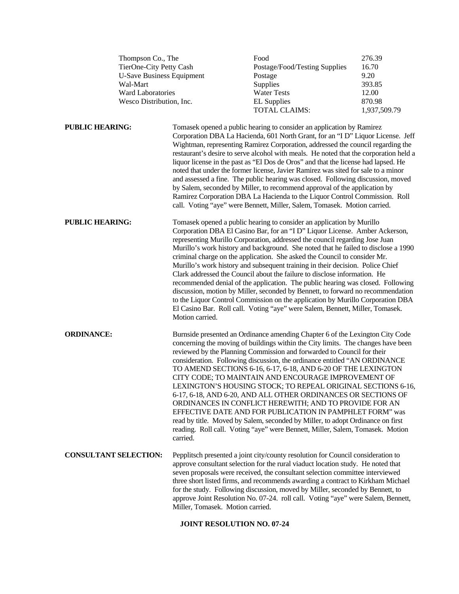| Thompson Co., The<br>TierOne-City Petty Cash<br><b>U-Save Business Equipment</b><br>Wal-Mart<br>Ward Laboratories<br>Wesco Distribution, Inc. |  | Food<br>Postage/Food/Testing Supplies<br>Postage<br>Supplies<br><b>Water Tests</b><br><b>EL Supplies</b><br>TOTAL CLAIMS:                                                                                                                                                                                                                                                                                                                                                                                                                                                                                                                                                                                                                                                                                                                                                                                                        | 276.39<br>16.70<br>9.20<br>393.85<br>12.00<br>870.98<br>1,937,509.79                                                                                                                                                                                                                                                                                                                                                                                                                                                                                                                                                                                                                                                                                                                                                                      |  |
|-----------------------------------------------------------------------------------------------------------------------------------------------|--|----------------------------------------------------------------------------------------------------------------------------------------------------------------------------------------------------------------------------------------------------------------------------------------------------------------------------------------------------------------------------------------------------------------------------------------------------------------------------------------------------------------------------------------------------------------------------------------------------------------------------------------------------------------------------------------------------------------------------------------------------------------------------------------------------------------------------------------------------------------------------------------------------------------------------------|-------------------------------------------------------------------------------------------------------------------------------------------------------------------------------------------------------------------------------------------------------------------------------------------------------------------------------------------------------------------------------------------------------------------------------------------------------------------------------------------------------------------------------------------------------------------------------------------------------------------------------------------------------------------------------------------------------------------------------------------------------------------------------------------------------------------------------------------|--|
| <b>PUBLIC HEARING:</b>                                                                                                                        |  |                                                                                                                                                                                                                                                                                                                                                                                                                                                                                                                                                                                                                                                                                                                                                                                                                                                                                                                                  | Tomasek opened a public hearing to consider an application by Ramirez<br>Corporation DBA La Hacienda, 601 North Grant, for an "I D" Liquor License. Jeff<br>Wightman, representing Ramirez Corporation, addressed the council regarding the<br>restaurant's desire to serve alcohol with meals. He noted that the corporation held a<br>liquor license in the past as "El Dos de Oros" and that the license had lapsed. He<br>noted that under the former license, Javier Ramirez was sited for sale to a minor<br>and assessed a fine. The public hearing was closed. Following discussion, moved<br>by Salem, seconded by Miller, to recommend approval of the application by<br>Ramirez Corporation DBA La Hacienda to the Liquor Control Commission. Roll<br>call. Voting "aye" were Bennett, Miller, Salem, Tomasek. Motion carried. |  |
| <b>PUBLIC HEARING:</b>                                                                                                                        |  | Tomasek opened a public hearing to consider an application by Murillo<br>Corporation DBA El Casino Bar, for an "I D" Liquor License. Amber Ackerson,<br>representing Murillo Corporation, addressed the council regarding Jose Juan<br>Murillo's work history and background. She noted that he failed to disclose a 1990<br>criminal charge on the application. She asked the Council to consider Mr.<br>Murillo's work history and subsequent training in their decision. Police Chief<br>Clark addressed the Council about the failure to disclose information. He<br>recommended denial of the application. The public hearing was closed. Following<br>discussion, motion by Miller, seconded by Bennett, to forward no recommendation<br>to the Liquor Control Commission on the application by Murillo Corporation DBA<br>El Casino Bar. Roll call. Voting "aye" were Salem, Bennett, Miller, Tomasek.<br>Motion carried. |                                                                                                                                                                                                                                                                                                                                                                                                                                                                                                                                                                                                                                                                                                                                                                                                                                           |  |
| <b>ORDINANCE:</b>                                                                                                                             |  | Burnside presented an Ordinance amending Chapter 6 of the Lexington City Code<br>concerning the moving of buildings within the City limits. The changes have been<br>reviewed by the Planning Commission and forwarded to Council for their<br>consideration. Following discussion, the ordinance entitled "AN ORDINANCE<br>TO AMEND SECTIONS 6-16, 6-17, 6-18, AND 6-20 OF THE LEXINGTON<br>CITY CODE; TO MAINTAIN AND ENCOURAGE IMPROVEMENT OF<br>LEXINGTON'S HOUSING STOCK; TO REPEAL ORIGINAL SECTIONS 6-16,<br>6-17, 6-18, AND 6-20, AND ALL OTHER ORDINANCES OR SECTIONS OF<br>ORDINANCES IN CONFLICT HEREWITH; AND TO PROVIDE FOR AN<br>EFFECTIVE DATE AND FOR PUBLICATION IN PAMPHLET FORM" was<br>read by title. Moved by Salem, seconded by Miller, to adopt Ordinance on first<br>reading. Roll call. Voting "aye" were Bennett, Miller, Salem, Tomasek. Motion<br>carried.                                           |                                                                                                                                                                                                                                                                                                                                                                                                                                                                                                                                                                                                                                                                                                                                                                                                                                           |  |
| <b>CONSULTANT SELECTION:</b>                                                                                                                  |  | Miller, Tomasek. Motion carried.                                                                                                                                                                                                                                                                                                                                                                                                                                                                                                                                                                                                                                                                                                                                                                                                                                                                                                 | Pepplitsch presented a joint city/county resolution for Council consideration to<br>approve consultant selection for the rural viaduct location study. He noted that<br>seven proposals were received, the consultant selection committee interviewed<br>three short listed firms, and recommends awarding a contract to Kirkham Michael<br>for the study. Following discussion, moved by Miller, seconded by Bennett, to<br>approve Joint Resolution No. 07-24. roll call. Voting "aye" were Salem, Bennett,                                                                                                                                                                                                                                                                                                                             |  |

## **JOINT RESOLUTION NO. 07-24**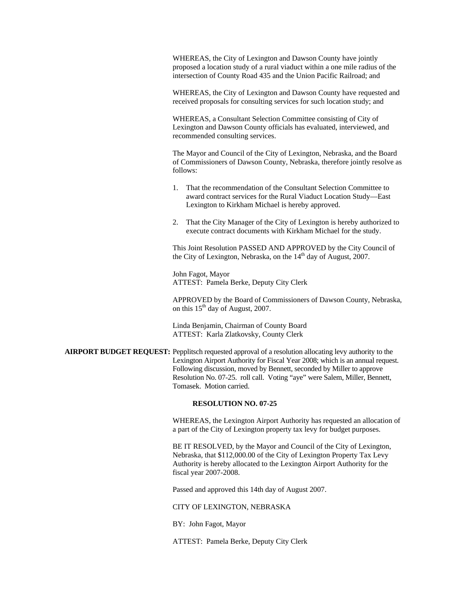WHEREAS, the City of Lexington and Dawson County have jointly proposed a location study of a rural viaduct within a one mile radius of the intersection of County Road 435 and the Union Pacific Railroad; and

WHEREAS, the City of Lexington and Dawson County have requested and received proposals for consulting services for such location study; and

WHEREAS, a Consultant Selection Committee consisting of City of Lexington and Dawson County officials has evaluated, interviewed, and recommended consulting services.

The Mayor and Council of the City of Lexington, Nebraska, and the Board of Commissioners of Dawson County, Nebraska, therefore jointly resolve as follows:

- 1. That the recommendation of the Consultant Selection Committee to award contract services for the Rural Viaduct Location Study—East Lexington to Kirkham Michael is hereby approved.
- 2. That the City Manager of the City of Lexington is hereby authorized to execute contract documents with Kirkham Michael for the study.

This Joint Resolution PASSED AND APPROVED by the City Council of the City of Lexington, Nebraska, on the  $14<sup>th</sup>$  day of August, 2007.

 John Fagot, Mayor ATTEST: Pamela Berke, Deputy City Clerk

APPROVED by the Board of Commissioners of Dawson County, Nebraska, on this  $15<sup>th</sup>$  day of August, 2007.

 Linda Benjamin, Chairman of County Board ATTEST: Karla Zlatkovsky, County Clerk

**AIRPORT BUDGET REQUEST:** Pepplitsch requested approval of a resolution allocating levy authority to the Lexington Airport Authority for Fiscal Year 2008; which is an annual request. Following discussion, moved by Bennett, seconded by Miller to approve Resolution No. 07-25. roll call. Voting "aye" were Salem, Miller, Bennett, Tomasek. Motion carried.

## **RESOLUTION NO. 07-25**

WHEREAS, the Lexington Airport Authority has requested an allocation of a part of the City of Lexington property tax levy for budget purposes.

BE IT RESOLVED, by the Mayor and Council of the City of Lexington, Nebraska, that \$112,000.00 of the City of Lexington Property Tax Levy Authority is hereby allocated to the Lexington Airport Authority for the fiscal year 2007-2008.

Passed and approved this 14th day of August 2007.

CITY OF LEXINGTON, NEBRASKA

BY: John Fagot, Mayor

ATTEST: Pamela Berke, Deputy City Clerk